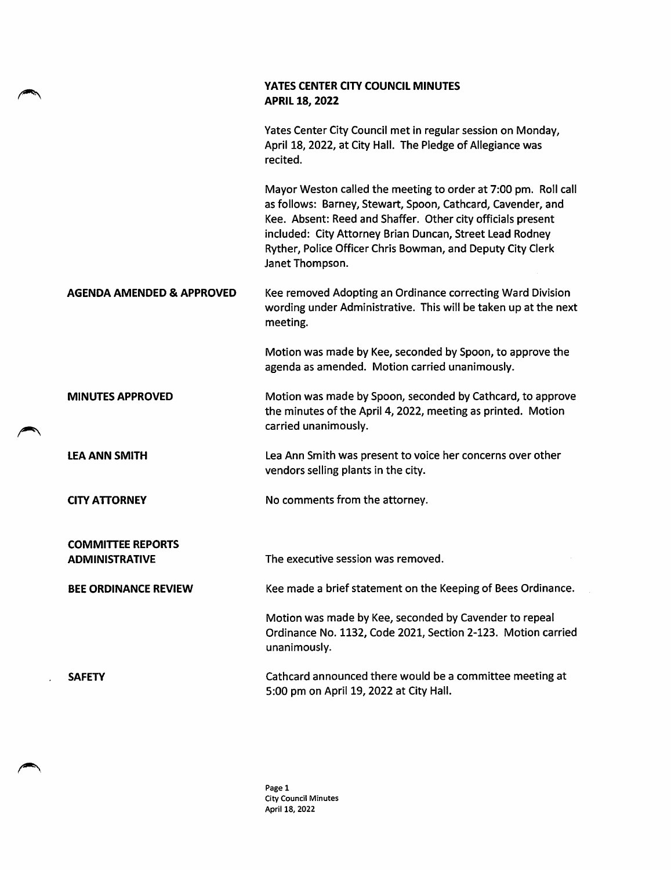|                                                   | YATES CENTER CITY COUNCIL MINUTES<br><b>APRIL 18, 2022</b>                                                                                                                                                                                                                                                                                |
|---------------------------------------------------|-------------------------------------------------------------------------------------------------------------------------------------------------------------------------------------------------------------------------------------------------------------------------------------------------------------------------------------------|
|                                                   | Yates Center City Council met in regular session on Monday,<br>April 18, 2022, at City Hall. The Pledge of Allegiance was<br>recited.                                                                                                                                                                                                     |
|                                                   | Mayor Weston called the meeting to order at 7:00 pm. Roll call<br>as follows: Barney, Stewart, Spoon, Cathcard, Cavender, and<br>Kee. Absent: Reed and Shaffer. Other city officials present<br>included: City Attorney Brian Duncan, Street Lead Rodney<br>Ryther, Police Officer Chris Bowman, and Deputy City Clerk<br>Janet Thompson. |
| <b>AGENDA AMENDED &amp; APPROVED</b>              | Kee removed Adopting an Ordinance correcting Ward Division<br>wording under Administrative. This will be taken up at the next<br>meeting.                                                                                                                                                                                                 |
|                                                   | Motion was made by Kee, seconded by Spoon, to approve the<br>agenda as amended. Motion carried unanimously.                                                                                                                                                                                                                               |
| <b>MINUTES APPROVED</b>                           | Motion was made by Spoon, seconded by Cathcard, to approve<br>the minutes of the April 4, 2022, meeting as printed. Motion<br>carried unanimously.                                                                                                                                                                                        |
| <b>LEA ANN SMITH</b>                              | Lea Ann Smith was present to voice her concerns over other<br>vendors selling plants in the city.                                                                                                                                                                                                                                         |
| <b>CITY ATTORNEY</b>                              | No comments from the attorney.                                                                                                                                                                                                                                                                                                            |
| <b>COMMITTEE REPORTS</b><br><b>ADMINISTRATIVE</b> | The executive session was removed.                                                                                                                                                                                                                                                                                                        |
| <b>BEE ORDINANCE REVIEW</b>                       | Kee made a brief statement on the Keeping of Bees Ordinance.                                                                                                                                                                                                                                                                              |
|                                                   | Motion was made by Kee, seconded by Cavender to repeal<br>Ordinance No. 1132, Code 2021, Section 2-123. Motion carried<br>unanimously.                                                                                                                                                                                                    |
| <b>SAFETY</b>                                     | Cathcard announced there would be a committee meeting at<br>5:00 pm on April 19, 2022 at City Hall.                                                                                                                                                                                                                                       |

◚

◚

◚

Page 1 City Council Minutes April 18, 2022